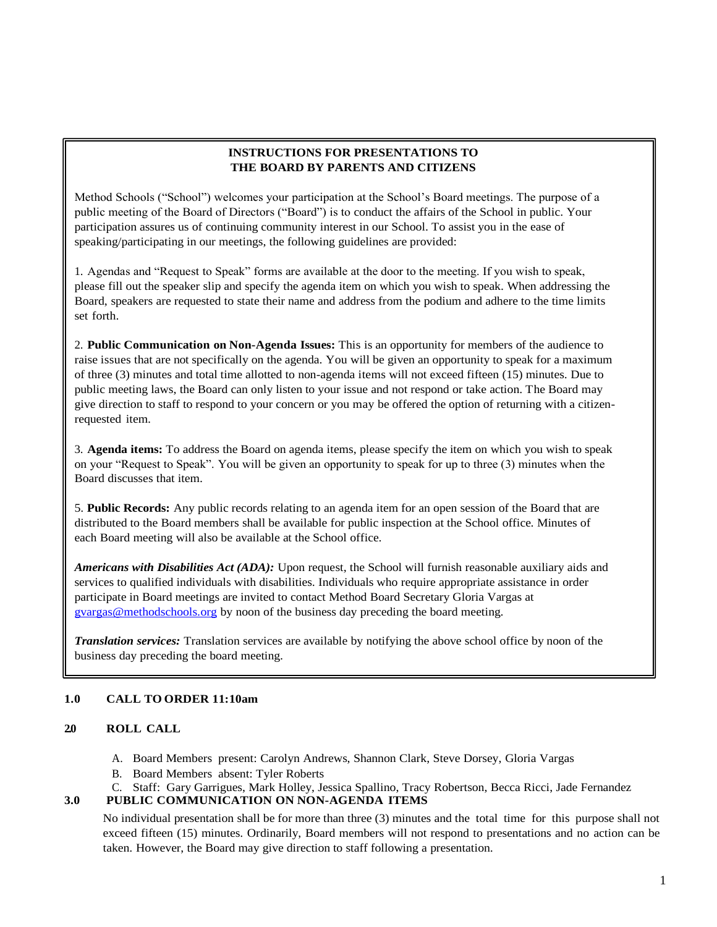### **INSTRUCTIONS FOR PRESENTATIONS TO THE BOARD BY PARENTS AND CITIZENS**

Method Schools ("School") welcomes your participation at the School's Board meetings. The purpose of a public meeting of the Board of Directors ("Board") is to conduct the affairs of the School in public. Your participation assures us of continuing community interest in our School. To assist you in the ease of speaking/participating in our meetings, the following guidelines are provided:

1. Agendas and "Request to Speak" forms are available at the door to the meeting. If you wish to speak, please fill out the speaker slip and specify the agenda item on which you wish to speak. When addressing the Board, speakers are requested to state their name and address from the podium and adhere to the time limits set forth.

2. **Public Communication on Non-Agenda Issues:** This is an opportunity for members of the audience to raise issues that are not specifically on the agenda. You will be given an opportunity to speak for a maximum of three (3) minutes and total time allotted to non-agenda items will not exceed fifteen (15) minutes. Due to public meeting laws, the Board can only listen to your issue and not respond or take action. The Board may give direction to staff to respond to your concern or you may be offered the option of returning with a citizenrequested item.

3. **Agenda items:** To address the Board on agenda items, please specify the item on which you wish to speak on your "Request to Speak". You will be given an opportunity to speak for up to three (3) minutes when the Board discusses that item.

5. **Public Records:** Any public records relating to an agenda item for an open session of the Board that are distributed to the Board members shall be available for public inspection at the School office. Minutes of each Board meeting will also be available at the School office.

*Americans with Disabilities Act (ADA):* Upon request, the School will furnish reasonable auxiliary aids and services to qualified individuals with disabilities. Individuals who require appropriate assistance in order participate in Board meetings are invited to contact Method Board Secretary Gloria Vargas at [gvargas@methodschools.org](mailto:gvargas@methodschools.org) by noon of the business day preceding the board meeting.

*Translation services:* Translation services are available by notifying the above school office by noon of the business day preceding the board meeting.

### **1.0 CALL TO ORDER 11:10am**

#### **2.0 ROLL CALL**

- A. Board Members present: Carolyn Andrews, Shannon Clark, Steve Dorsey, Gloria Vargas
- B. Board Members absent: Tyler Roberts
- C. Staff: Gary Garrigues, Mark Holley, Jessica Spallino, Tracy Robertson, Becca Ricci, Jade Fernandez

#### **3.0 PUBLIC COMMUNICATION ON NON-AGENDA ITEMS**

No individual presentation shall be for more than three (3) minutes and the total time for this purpose shall not exceed fifteen (15) minutes. Ordinarily, Board members will not respond to presentations and no action can be taken. However, the Board may give direction to staff following a presentation.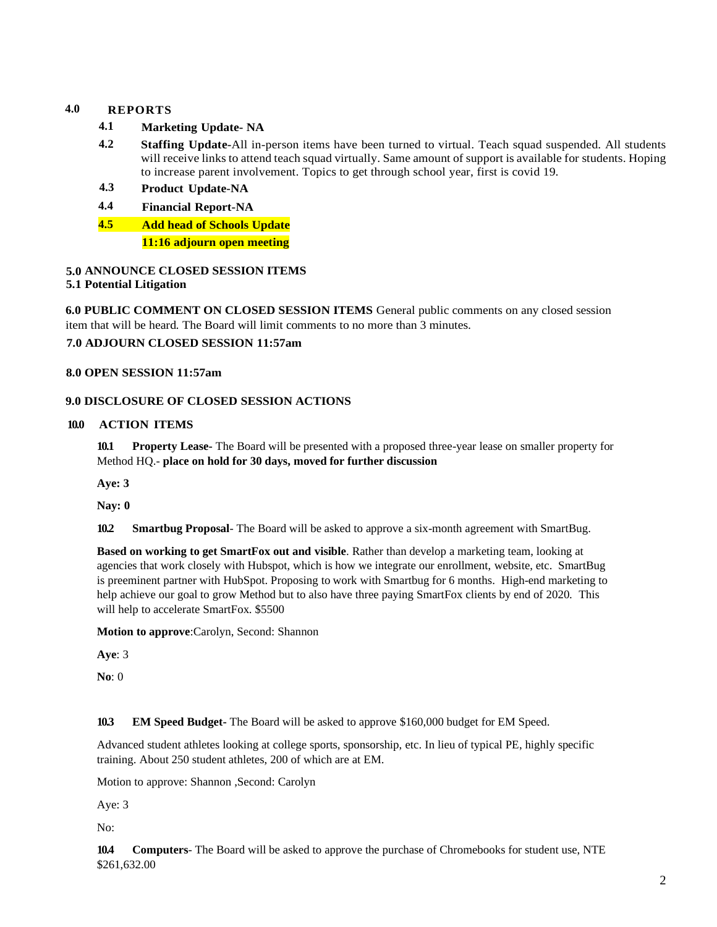# **4.0 REPORTS**

- **4.1 Marketing Update- NA**
- **4.2 Staffing Update-**All in-person items have been turned to virtual. Teach squad suspended. All students will receive links to attend teach squad virtually. Same amount of support is available for students. Hoping to increase parent involvement. Topics to get through school year, first is covid 19.
- **4.3 Product Update-NA**
- **4.4 Financial Report-NA**
- **4.5 Add head of Schools Update**

**11:16 adjourn open meeting**

# **5.0 ANNOUNCE CLOSED SESSION ITEMS**

## **5.1 Potential Litigation**

**6.0 PUBLIC COMMENT ON CLOSED SESSION ITEMS** General public comments on any closed session item that will be heard. The Board will limit comments to no more than 3 minutes. **7.0 ADJOURN CLOSED SESSION 11:57am**

### **8.0 OPEN SESSION 11:57am**

### **9.0 DISCLOSURE OF CLOSED SESSION ACTIONS**

### **10.0 ACTION ITEMS**

**10.1 Property Lease-** The Board will be presented with a proposed three-year lease on smaller property for Method HQ.- **place on hold for 30 days, moved for further discussion**

**Aye: 3**

**Nay: 0**

**10.2 Smartbug Proposal**- The Board will be asked to approve a six-month agreement with SmartBug.

**Based on working to get SmartFox out and visible**. Rather than develop a marketing team, looking at agencies that work closely with Hubspot, which is how we integrate our enrollment, website, etc. SmartBug is preeminent partner with HubSpot. Proposing to work with Smartbug for 6 months. High-end marketing to help achieve our goal to grow Method but to also have three paying SmartFox clients by end of 2020. This will help to accelerate SmartFox. \$5500

**Motion to approve**:Carolyn, Second: Shannon

**Aye**: 3

**No**: 0

**10.3 EM Speed Budget-** The Board will be asked to approve \$160,000 budget for EM Speed.

Advanced student athletes looking at college sports, sponsorship, etc. In lieu of typical PE, highly specific training. About 250 student athletes, 200 of which are at EM.

Motion to approve: Shannon ,Second: Carolyn

Aye: 3

No:

**10.4 Computers**- The Board will be asked to approve the purchase of Chromebooks for student use, NTE \$261,632.00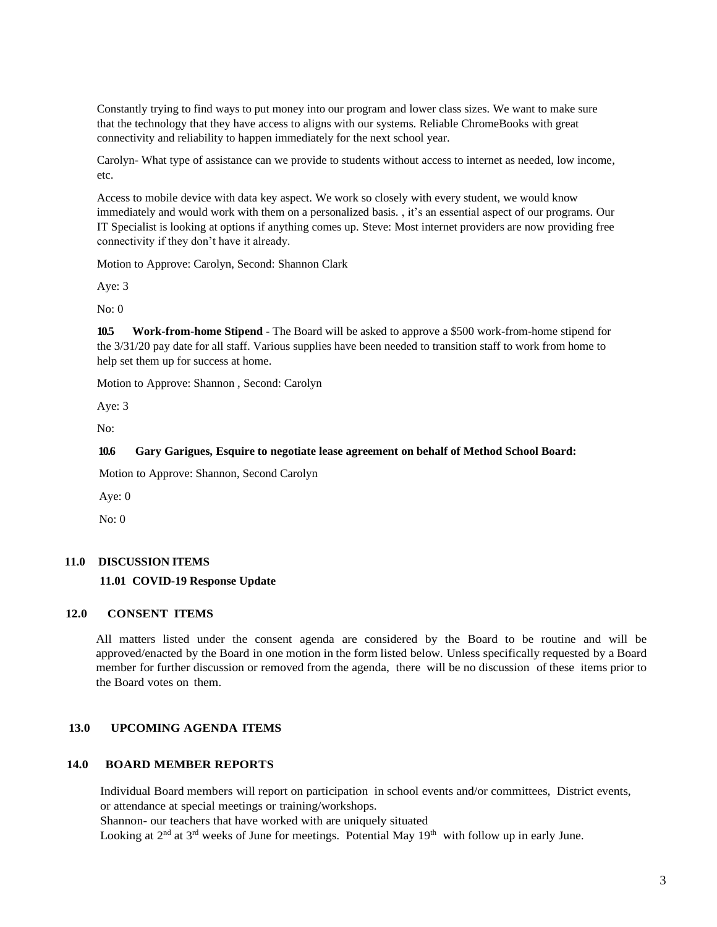Constantly trying to find ways to put money into our program and lower class sizes. We want to make sure that the technology that they have access to aligns with our systems. Reliable ChromeBooks with great connectivity and reliability to happen immediately for the next school year.

Carolyn- What type of assistance can we provide to students without access to internet as needed, low income, etc.

Access to mobile device with data key aspect. We work so closely with every student, we would know immediately and would work with them on a personalized basis. , it's an essential aspect of our programs. Our IT Specialist is looking at options if anything comes up. Steve: Most internet providers are now providing free connectivity if they don't have it already.

Motion to Approve: Carolyn, Second: Shannon Clark

Aye: 3

No: 0

**10.5 Work-from-home Stipend** - The Board will be asked to approve a \$500 work-from-home stipend for the 3/31/20 pay date for all staff. Various supplies have been needed to transition staff to work from home to help set them up for success at home.

Motion to Approve: Shannon , Second: Carolyn

Aye: 3

No:

#### **10.6 Gary Garigues, Esquire to negotiate lease agreement on behalf of Method School Board:**

Motion to Approve: Shannon, Second Carolyn

Aye: 0

No: 0

#### **11.0 DISCUSSION ITEMS**

#### **11.01 COVID-19 Response Update**

#### **12.0 CONSENT ITEMS**

All matters listed under the consent agenda are considered by the Board to be routine and will be approved/enacted by the Board in one motion in the form listed below. Unless specifically requested by a Board member for further discussion or removed from the agenda, there will be no discussion of these items prior to the Board votes on them.

### **13.0 UPCOMING AGENDA ITEMS**

#### **14.0 BOARD MEMBER REPORTS**

Individual Board members will report on participation in school events and/or committees, District events, or attendance at special meetings or training/workshops.

Shannon- our teachers that have worked with are uniquely situated

Looking at  $2<sup>nd</sup>$  at  $3<sup>rd</sup>$  weeks of June for meetings. Potential May  $19<sup>th</sup>$  with follow up in early June.